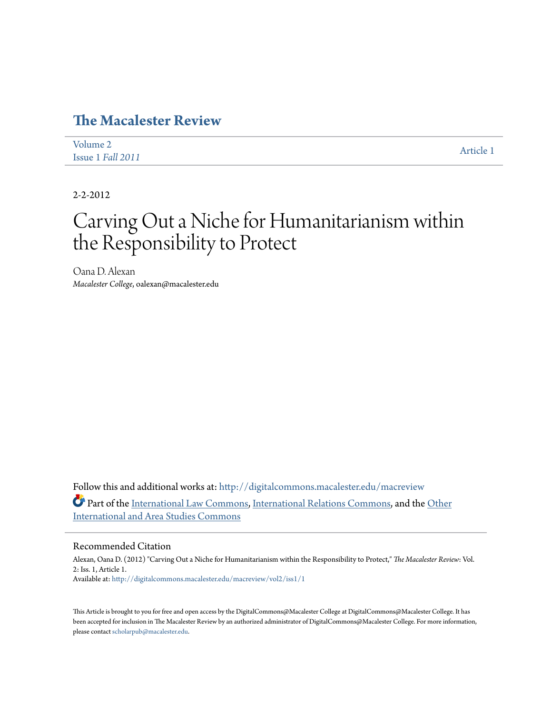### **[The Macalester Review](http://digitalcommons.macalester.edu/macreview?utm_source=digitalcommons.macalester.edu%2Fmacreview%2Fvol2%2Fiss1%2F1&utm_medium=PDF&utm_campaign=PDFCoverPages)**

| Volume 2          | Article 1 |
|-------------------|-----------|
| Issue 1 Fall 2011 |           |

2-2-2012

## Carving Out a Niche for Humanitarianism within the Responsibility to Protect

Oana D. Alexan *Macalester College*, oalexan@macalester.edu

Follow this and additional works at: [http://digitalcommons.macalester.edu/macreview](http://digitalcommons.macalester.edu/macreview?utm_source=digitalcommons.macalester.edu%2Fmacreview%2Fvol2%2Fiss1%2F1&utm_medium=PDF&utm_campaign=PDFCoverPages) Part of the [International Law Commons,](http://network.bepress.com/hgg/discipline/609?utm_source=digitalcommons.macalester.edu%2Fmacreview%2Fvol2%2Fiss1%2F1&utm_medium=PDF&utm_campaign=PDFCoverPages) [International Relations Commons](http://network.bepress.com/hgg/discipline/389?utm_source=digitalcommons.macalester.edu%2Fmacreview%2Fvol2%2Fiss1%2F1&utm_medium=PDF&utm_campaign=PDFCoverPages), and the [Other](http://network.bepress.com/hgg/discipline/365?utm_source=digitalcommons.macalester.edu%2Fmacreview%2Fvol2%2Fiss1%2F1&utm_medium=PDF&utm_campaign=PDFCoverPages) [International and Area Studies Commons](http://network.bepress.com/hgg/discipline/365?utm_source=digitalcommons.macalester.edu%2Fmacreview%2Fvol2%2Fiss1%2F1&utm_medium=PDF&utm_campaign=PDFCoverPages)

#### Recommended Citation

Alexan, Oana D. (2012) "Carving Out a Niche for Humanitarianism within the Responsibility to Protect," *The Macalester Review*: Vol. 2: Iss. 1, Article 1. Available at: [http://digitalcommons.macalester.edu/macreview/vol2/iss1/1](http://digitalcommons.macalester.edu/macreview/vol2/iss1/1?utm_source=digitalcommons.macalester.edu%2Fmacreview%2Fvol2%2Fiss1%2F1&utm_medium=PDF&utm_campaign=PDFCoverPages)

This Article is brought to you for free and open access by the DigitalCommons@Macalester College at DigitalCommons@Macalester College. It has been accepted for inclusion in The Macalester Review by an authorized administrator of DigitalCommons@Macalester College. For more information, please contact [scholarpub@macalester.edu.](mailto:scholarpub@macalester.edu)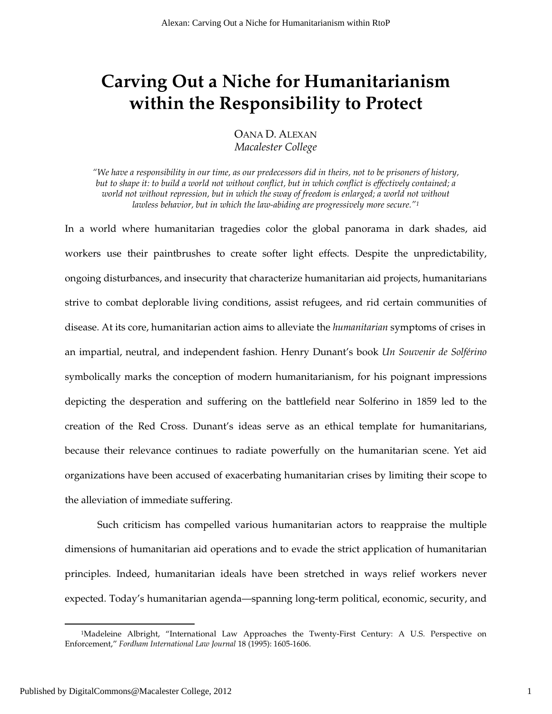## **Carving Out a Niche for Humanitarianism within the Responsibility to Protect**

OANA D. ALEXAN *Macalester College* 

*"We have a responsibility in our time, as our predecessors did in theirs, not to be prisoners of history, but to shape it: to build a world not without conflict, but in which conflict is effectively contained; a world not without repression, but in which the sway of freedom is enlarged; a world not without lawless behavior, but in which the law-abiding are progressively more secure."<sup>1</sup>*

In a world where humanitarian tragedies color the global panorama in dark shades, aid workers use their paintbrushes to create softer light effects. Despite the unpredictability, ongoing disturbances, and insecurity that characterize humanitarian aid projects, humanitarians strive to combat deplorable living conditions, assist refugees, and rid certain communities of disease. At its core, humanitarian action aims to alleviate the *humanitarian* symptoms of crises in an impartial, neutral, and independent fashion. Henry Dunant's book *Un Souvenir de Solférino* symbolically marks the conception of modern humanitarianism, for his poignant impressions depicting the desperation and suffering on the battlefield near Solferino in 1859 led to the creation of the Red Cross. Dunant's ideas serve as an ethical template for humanitarians, because their relevance continues to radiate powerfully on the humanitarian scene. Yet aid organizations have been accused of exacerbating humanitarian crises by limiting their scope to the alleviation of immediate suffering.

Such criticism has compelled various humanitarian actors to reappraise the multiple dimensions of humanitarian aid operations and to evade the strict application of humanitarian principles. Indeed, humanitarian ideals have been stretched in ways relief workers never expected. Today's humanitarian agenda—spanning long-term political, economic, security, and

<sup>&</sup>lt;sup>1</sup>Madeleine Albright, "International Law Approaches the Twenty-First Century: A U.S. Perspective on Enforcement," *Fordham International Law Journal* 18 (1995): 1605-1606.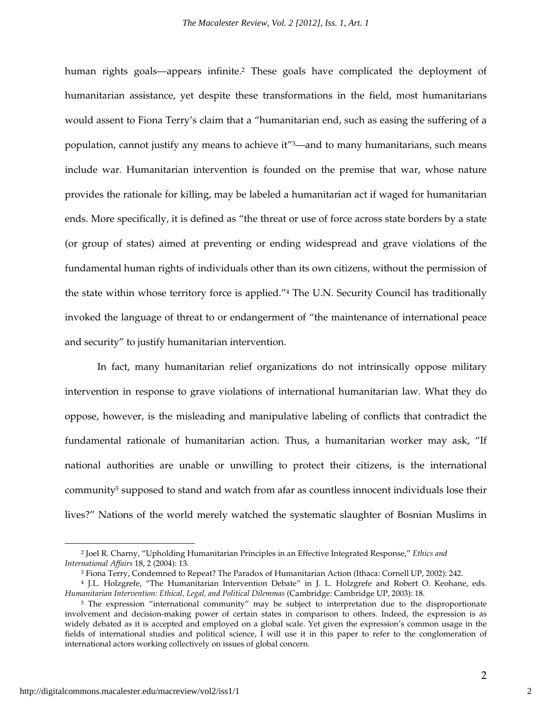human rights goals—appears infinite.<sup>2</sup> These goals have complicated the deployment of humanitarian assistance, yet despite these transformations in the field, most humanitarians would assent to Fiona Terry's claim that a "humanitarian end, such as easing the suffering of a population, cannot justify any means to achieve it"3—and to many humanitarians, such means include war. Humanitarian intervention is founded on the premise that war, whose nature provides the rationale for killing, may be labeled a humanitarian act if waged for humanitarian ends. More specifically, it is defined as "the threat or use of force across state borders by a state (or group of states) aimed at preventing or ending widespread and grave violations of the fundamental human rights of individuals other than its own citizens, without the permission of the state within whose territory force is applied."4 The U.N. Security Council has traditionally invoked the language of threat to or endangerment of "the maintenance of international peace and security" to justify humanitarian intervention.

In fact, many humanitarian relief organizations do not intrinsically oppose military intervention in response to grave violations of international humanitarian law. What they do oppose, however, is the misleading and manipulative labeling of conflicts that contradict the fundamental rationale of humanitarian action. Thus, a humanitarian worker may ask, "If national authorities are unable or unwilling to protect their citizens, is the international community<sup>5</sup> supposed to stand and watch from afar as countless innocent individuals lose their lives?" Nations of the world merely watched the systematic slaughter of Bosnian Muslims in

<sup>2</sup> Joel R. Charny, "Upholding Humanitarian Principles in an Effective Integrated Response," *Ethics and International Affairs* 18, 2 (2004): 13.

<sup>3</sup> Fiona Terry, Condemned to Repeat? The Paradox of Humanitarian Action (Ithaca: Cornell UP, 2002): 242.

<sup>4</sup> J.L. Holzgrefe, "The Humanitarian Intervention Debate" in J. L. Holzgrefe and Robert O. Keohane, eds. *Humanitarian Intervention: Ethical, Legal, and Political Dilemmas* (Cambridge: Cambridge UP, 2003): 18.

<sup>5</sup> The expression "international community" may be subject to interpretation due to the disproportionate involvement and decision-making power of certain states in comparison to others. Indeed, the expression is as widely debated as it is accepted and employed on a global scale. Yet given the expression's common usage in the fields of international studies and political science, I will use it in this paper to refer to the conglomeration of international actors working collectively on issues of global concern.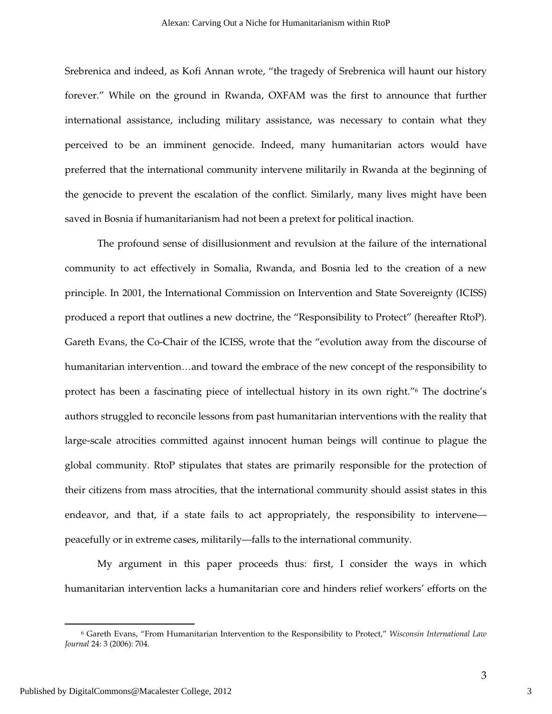Srebrenica and indeed, as Kofi Annan wrote, "the tragedy of Srebrenica will haunt our history forever." While on the ground in Rwanda, OXFAM was the first to announce that further international assistance, including military assistance, was necessary to contain what they perceived to be an imminent genocide. Indeed, many humanitarian actors would have preferred that the international community intervene militarily in Rwanda at the beginning of the genocide to prevent the escalation of the conflict. Similarly, many lives might have been saved in Bosnia if humanitarianism had not been a pretext for political inaction.

The profound sense of disillusionment and revulsion at the failure of the international community to act effectively in Somalia, Rwanda, and Bosnia led to the creation of a new principle. In 2001, the International Commission on Intervention and State Sovereignty (ICISS) produced a report that outlines a new doctrine, the "Responsibility to Protect" (hereafter RtoP). Gareth Evans, the Co-Chair of the ICISS, wrote that the "evolution away from the discourse of humanitarian intervention...and toward the embrace of the new concept of the responsibility to protect has been a fascinating piece of intellectual history in its own right."6 The doctrine's authors struggled to reconcile lessons from past humanitarian interventions with the reality that large-scale atrocities committed against innocent human beings will continue to plague the global community. RtoP stipulates that states are primarily responsible for the protection of their citizens from mass atrocities, that the international community should assist states in this endeavor, and that, if a state fails to act appropriately, the responsibility to intervene peacefully or in extreme cases, militarily—falls to the international community.

My argument in this paper proceeds thus: first, I consider the ways in which humanitarian intervention lacks a humanitarian core and hinders relief workers' efforts on the

 $\overline{a}$ 

3

<sup>6</sup> Gareth Evans, "From Humanitarian Intervention to the Responsibility to Protect," *Wisconsin International Law Journal* 24: 3 (2006): 704.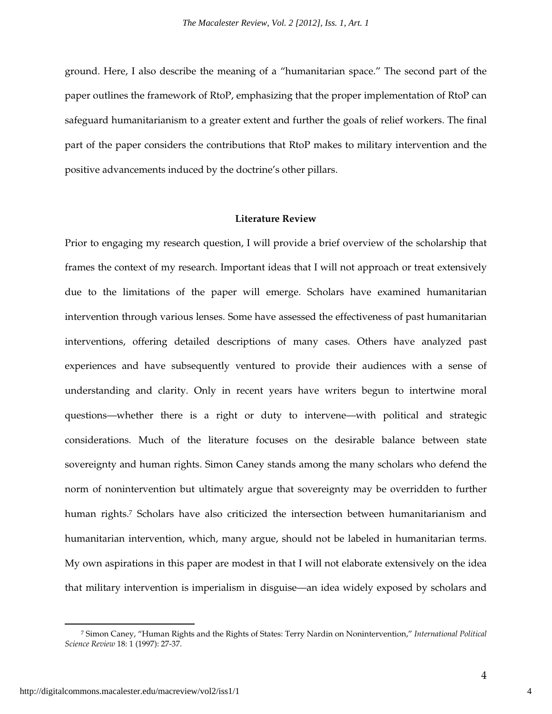ground. Here, I also describe the meaning of a "humanitarian space." The second part of the paper outlines the framework of RtoP, emphasizing that the proper implementation of RtoP can safeguard humanitarianism to a greater extent and further the goals of relief workers. The final part of the paper considers the contributions that RtoP makes to military intervention and the positive advancements induced by the doctrine's other pillars.

#### **Literature Review**

Prior to engaging my research question, I will provide a brief overview of the scholarship that frames the context of my research. Important ideas that I will not approach or treat extensively due to the limitations of the paper will emerge. Scholars have examined humanitarian intervention through various lenses. Some have assessed the effectiveness of past humanitarian interventions, offering detailed descriptions of many cases. Others have analyzed past experiences and have subsequently ventured to provide their audiences with a sense of understanding and clarity. Only in recent years have writers begun to intertwine moral questions—whether there is a right or duty to intervene—with political and strategic considerations. Much of the literature focuses on the desirable balance between state sovereignty and human rights. Simon Caney stands among the many scholars who defend the norm of nonintervention but ultimately argue that sovereignty may be overridden to further human rights.<sup>7</sup> Scholars have also criticized the intersection between humanitarianism and humanitarian intervention, which, many argue, should not be labeled in humanitarian terms. My own aspirations in this paper are modest in that I will not elaborate extensively on the idea that military intervention is imperialism in disguise—an idea widely exposed by scholars and

<sup>7</sup> Simon Caney, "Human Rights and the Rights of States: Terry Nardin on Nonintervention," *International Political Science Review* 18: 1 (1997): 27-37.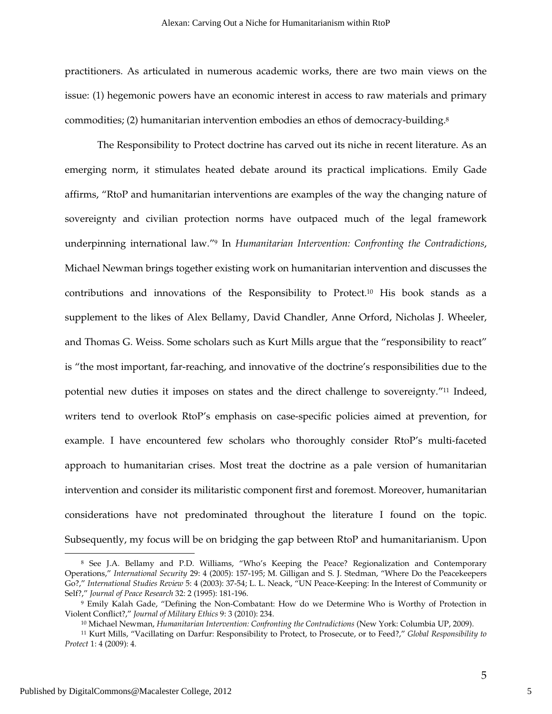practitioners. As articulated in numerous academic works, there are two main views on the issue: (1) hegemonic powers have an economic interest in access to raw materials and primary commodities; (2) humanitarian intervention embodies an ethos of democracy-building.<sup>8</sup>

The Responsibility to Protect doctrine has carved out its niche in recent literature. As an emerging norm, it stimulates heated debate around its practical implications. Emily Gade affirms, "RtoP and humanitarian interventions are examples of the way the changing nature of sovereignty and civilian protection norms have outpaced much of the legal framework underpinning international law."9 In *Humanitarian Intervention: Confronting the Contradictions*, Michael Newman brings together existing work on humanitarian intervention and discusses the contributions and innovations of the Responsibility to Protect.10 His book stands as a supplement to the likes of Alex Bellamy, David Chandler, Anne Orford, Nicholas J. Wheeler, and Thomas G. Weiss. Some scholars such as Kurt Mills argue that the "responsibility to react" is "the most important, far-reaching, and innovative of the doctrine's responsibilities due to the potential new duties it imposes on states and the direct challenge to sovereignty."11 Indeed, writers tend to overlook RtoP's emphasis on case-specific policies aimed at prevention, for example. I have encountered few scholars who thoroughly consider RtoP's multi-faceted approach to humanitarian crises. Most treat the doctrine as a pale version of humanitarian intervention and consider its militaristic component first and foremost. Moreover, humanitarian considerations have not predominated throughout the literature I found on the topic. Subsequently, my focus will be on bridging the gap between RtoP and humanitarianism. Upon  $\overline{a}$ 

<sup>8</sup> See J.A. Bellamy and P.D. Williams, "Who's Keeping the Peace? Regionalization and Contemporary Operations," *International Security* 29: 4 (2005): 157-195; M. Gilligan and S. J. Stedman, "Where Do the Peacekeepers Go?," *International Studies Review* 5: 4 (2003): 37-54; L. L. Neack, "UN Peace-Keeping: In the Interest of Community or Self?," *Journal of Peace Research* 32: 2 (1995): 181-196.

<sup>9</sup> Emily Kalah Gade, "Defining the Non-Combatant: How do we Determine Who is Worthy of Protection in Violent Conflict?," *Journal of Military Ethics* 9: 3 (2010): 234.

<sup>10</sup> Michael Newman, *Humanitarian Intervention: Confronting the Contradictions* (New York: Columbia UP, 2009).

<sup>11</sup> Kurt Mills, "Vacillating on Darfur: Responsibility to Protect, to Prosecute, or to Feed?," *Global Responsibility to Protect* 1: 4 (2009): 4.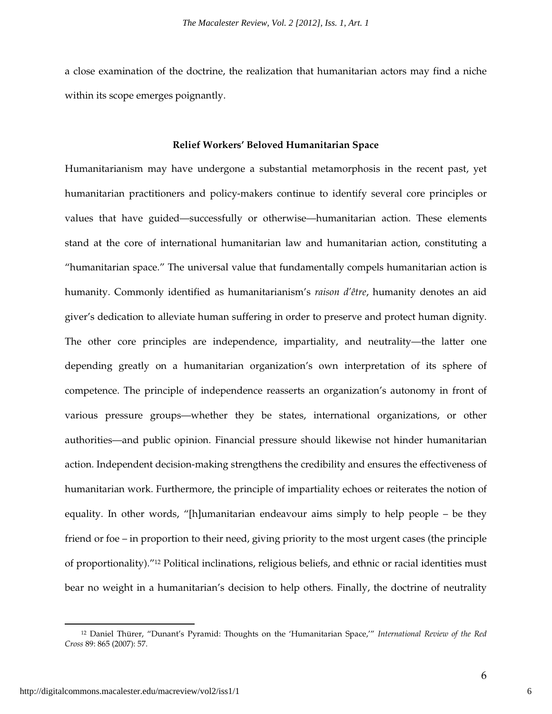a close examination of the doctrine, the realization that humanitarian actors may find a niche within its scope emerges poignantly.

#### **Relief Workers' Beloved Humanitarian Space**

Humanitarianism may have undergone a substantial metamorphosis in the recent past, yet humanitarian practitioners and policy-makers continue to identify several core principles or values that have guided—successfully or otherwise—humanitarian action. These elements stand at the core of international humanitarian law and humanitarian action, constituting a "humanitarian space." The universal value that fundamentally compels humanitarian action is humanity. Commonly identified as humanitarianism's *raison d'être*, humanity denotes an aid giver's dedication to alleviate human suffering in order to preserve and protect human dignity. The other core principles are independence, impartiality, and neutrality—the latter one depending greatly on a humanitarian organization's own interpretation of its sphere of competence. The principle of independence reasserts an organization's autonomy in front of various pressure groups—whether they be states, international organizations, or other authorities—and public opinion. Financial pressure should likewise not hinder humanitarian action. Independent decision-making strengthens the credibility and ensures the effectiveness of humanitarian work. Furthermore, the principle of impartiality echoes or reiterates the notion of equality. In other words, "[h]umanitarian endeavour aims simply to help people – be they friend or foe – in proportion to their need, giving priority to the most urgent cases (the principle of proportionality)."12 Political inclinations, religious beliefs, and ethnic or racial identities must bear no weight in a humanitarian's decision to help others. Finally, the doctrine of neutrality

<sup>12</sup> Daniel Thürer, "Dunant's Pyramid: Thoughts on the 'Humanitarian Space,'" *International Review of the Red Cross* 89: 865 (2007): 57.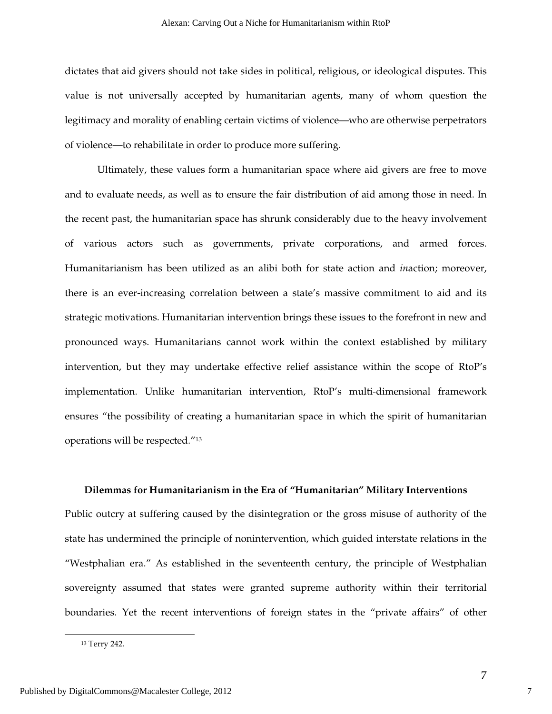dictates that aid givers should not take sides in political, religious, or ideological disputes. This value is not universally accepted by humanitarian agents, many of whom question the legitimacy and morality of enabling certain victims of violence—who are otherwise perpetrators of violence—to rehabilitate in order to produce more suffering.

Ultimately, these values form a humanitarian space where aid givers are free to move and to evaluate needs, as well as to ensure the fair distribution of aid among those in need. In the recent past, the humanitarian space has shrunk considerably due to the heavy involvement of various actors such as governments, private corporations, and armed forces. Humanitarianism has been utilized as an alibi both for state action and *in*action; moreover, there is an ever-increasing correlation between a state's massive commitment to aid and its strategic motivations. Humanitarian intervention brings these issues to the forefront in new and pronounced ways. Humanitarians cannot work within the context established by military intervention, but they may undertake effective relief assistance within the scope of RtoP's implementation. Unlike humanitarian intervention, RtoP's multi-dimensional framework ensures "the possibility of creating a humanitarian space in which the spirit of humanitarian operations will be respected."<sup>13</sup>

#### **Dilemmas for Humanitarianism in the Era of "Humanitarian" Military Interventions**

Public outcry at suffering caused by the disintegration or the gross misuse of authority of the state has undermined the principle of nonintervention, which guided interstate relations in the "Westphalian era." As established in the seventeenth century, the principle of Westphalian sovereignty assumed that states were granted supreme authority within their territorial boundaries. Yet the recent interventions of foreign states in the "private affairs" of other

<sup>13</sup> Terry 242.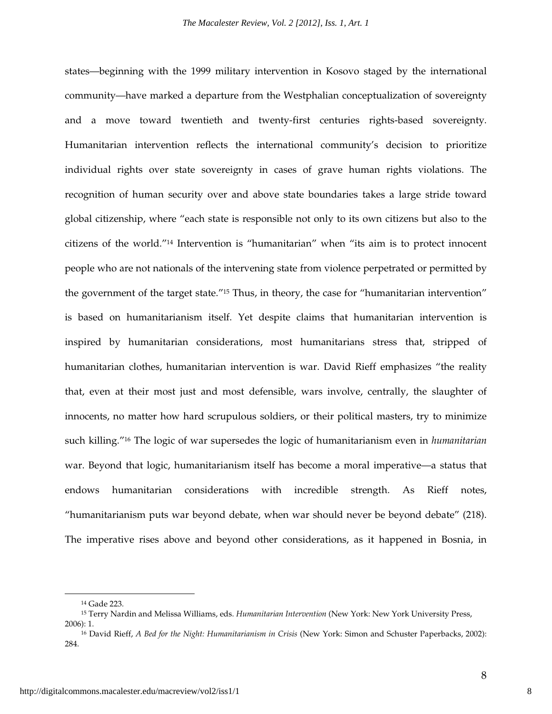states—beginning with the 1999 military intervention in Kosovo staged by the international community—have marked a departure from the Westphalian conceptualization of sovereignty and a move toward twentieth and twenty-first centuries rights-based sovereignty. Humanitarian intervention reflects the international community's decision to prioritize individual rights over state sovereignty in cases of grave human rights violations. The recognition of human security over and above state boundaries takes a large stride toward global citizenship, where "each state is responsible not only to its own citizens but also to the citizens of the world."14 Intervention is "humanitarian" when "its aim is to protect innocent people who are not nationals of the intervening state from violence perpetrated or permitted by the government of the target state."15 Thus, in theory, the case for "humanitarian intervention" is based on humanitarianism itself. Yet despite claims that humanitarian intervention is inspired by humanitarian considerations, most humanitarians stress that, stripped of humanitarian clothes, humanitarian intervention is war. David Rieff emphasizes "the reality that, even at their most just and most defensible, wars involve, centrally, the slaughter of innocents, no matter how hard scrupulous soldiers, or their political masters, try to minimize such killing."16 The logic of war supersedes the logic of humanitarianism even in *humanitarian* war. Beyond that logic, humanitarianism itself has become a moral imperative—a status that endows humanitarian considerations with incredible strength. As Rieff notes, "humanitarianism puts war beyond debate, when war should never be beyond debate" (218). The imperative rises above and beyond other considerations, as it happened in Bosnia, in

l

<sup>14</sup> Gade 223.

<sup>15</sup> Terry Nardin and Melissa Williams, eds. *Humanitarian Intervention* (New York: New York University Press, 2006): 1.

<sup>16</sup> David Rieff, *A Bed for the Night: Humanitarianism in Crisis* (New York: Simon and Schuster Paperbacks, 2002): 284.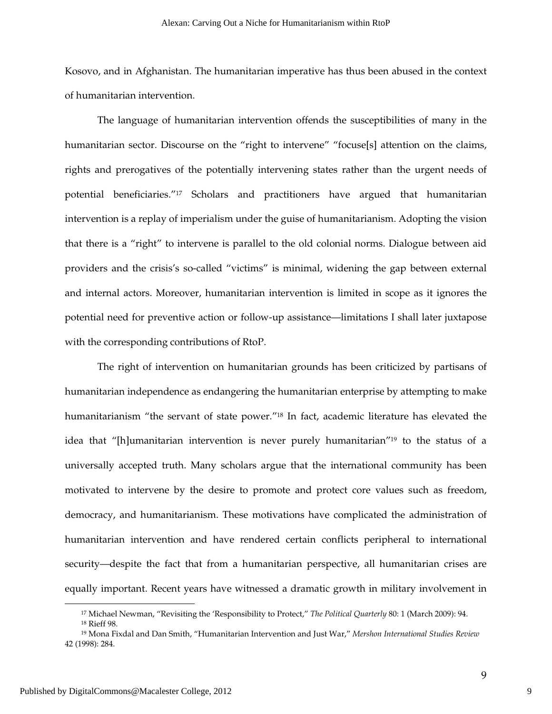Kosovo, and in Afghanistan. The humanitarian imperative has thus been abused in the context of humanitarian intervention.

The language of humanitarian intervention offends the susceptibilities of many in the humanitarian sector. Discourse on the "right to intervene" "focuse[s] attention on the claims, rights and prerogatives of the potentially intervening states rather than the urgent needs of potential beneficiaries."17 Scholars and practitioners have argued that humanitarian intervention is a replay of imperialism under the guise of humanitarianism. Adopting the vision that there is a "right" to intervene is parallel to the old colonial norms. Dialogue between aid providers and the crisis's so-called "victims" is minimal, widening the gap between external and internal actors. Moreover, humanitarian intervention is limited in scope as it ignores the potential need for preventive action or follow-up assistance—limitations I shall later juxtapose with the corresponding contributions of RtoP.

 The right of intervention on humanitarian grounds has been criticized by partisans of humanitarian independence as endangering the humanitarian enterprise by attempting to make humanitarianism "the servant of state power."18 In fact, academic literature has elevated the idea that "[h]umanitarian intervention is never purely humanitarian"19 to the status of a universally accepted truth. Many scholars argue that the international community has been motivated to intervene by the desire to promote and protect core values such as freedom, democracy, and humanitarianism. These motivations have complicated the administration of humanitarian intervention and have rendered certain conflicts peripheral to international security—despite the fact that from a humanitarian perspective, all humanitarian crises are equally important. Recent years have witnessed a dramatic growth in military involvement in

<sup>17</sup> Michael Newman, "Revisiting the 'Responsibility to Protect," *The Political Quarterly* 80: 1 (March 2009): 94. <sup>18</sup> Rieff 98.

<sup>19</sup> Mona Fixdal and Dan Smith, "Humanitarian Intervention and Just War," *Mershon International Studies Review* 42 (1998): 284.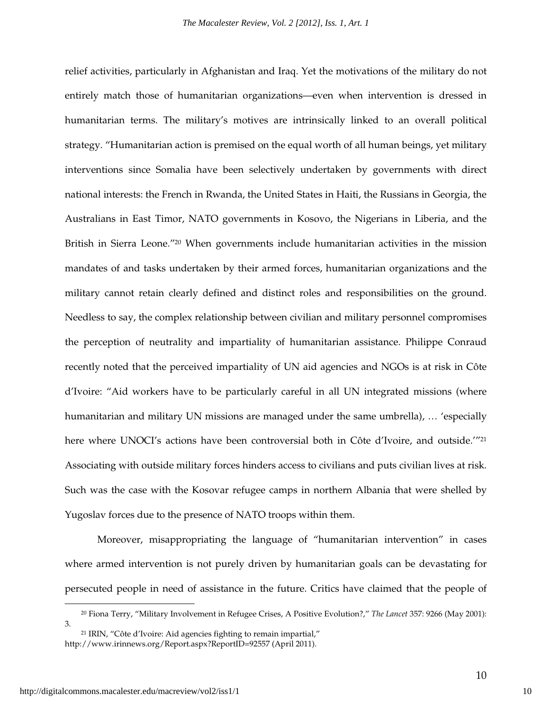relief activities, particularly in Afghanistan and Iraq. Yet the motivations of the military do not entirely match those of humanitarian organizations—even when intervention is dressed in humanitarian terms. The military's motives are intrinsically linked to an overall political strategy. "Humanitarian action is premised on the equal worth of all human beings, yet military interventions since Somalia have been selectively undertaken by governments with direct national interests: the French in Rwanda, the United States in Haiti, the Russians in Georgia, the Australians in East Timor, NATO governments in Kosovo, the Nigerians in Liberia, and the British in Sierra Leone."20 When governments include humanitarian activities in the mission mandates of and tasks undertaken by their armed forces, humanitarian organizations and the military cannot retain clearly defined and distinct roles and responsibilities on the ground. Needless to say, the complex relationship between civilian and military personnel compromises the perception of neutrality and impartiality of humanitarian assistance. Philippe Conraud recently noted that the perceived impartiality of UN aid agencies and NGOs is at risk in Côte d'Ivoire: "Aid workers have to be particularly careful in all UN integrated missions (where humanitarian and military UN missions are managed under the same umbrella), … 'especially here where UNOCI's actions have been controversial both in Côte d'Ivoire, and outside."<sup>21</sup> Associating with outside military forces hinders access to civilians and puts civilian lives at risk. Such was the case with the Kosovar refugee camps in northern Albania that were shelled by Yugoslav forces due to the presence of NATO troops within them.

Moreover, misappropriating the language of "humanitarian intervention" in cases where armed intervention is not purely driven by humanitarian goals can be devastating for persecuted people in need of assistance in the future. Critics have claimed that the people of

<sup>20</sup> Fiona Terry, "Military Involvement in Refugee Crises, A Positive Evolution?," *The Lancet* 357: 9266 (May 2001): 3.

<sup>21</sup> IRIN, "Côte d'Ivoire: Aid agencies fighting to remain impartial," http://www.irinnews.org/Report.aspx?ReportID=92557 (April 2011).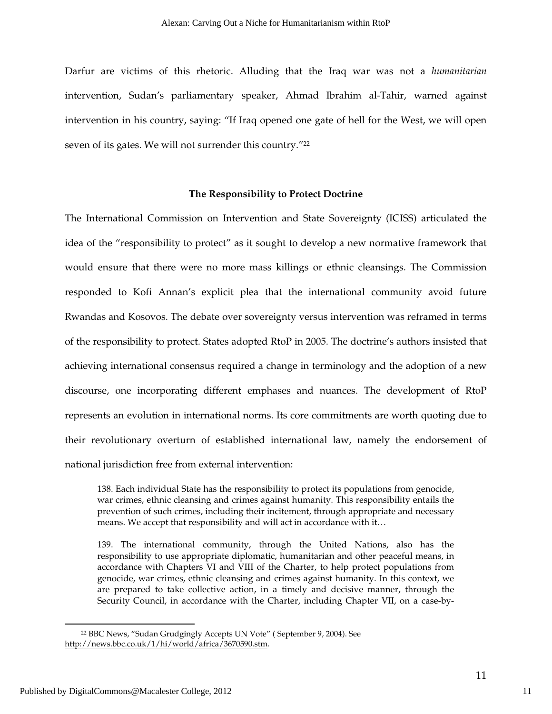Darfur are victims of this rhetoric. Alluding that the Iraq war was not a *humanitarian* intervention, Sudan's parliamentary speaker, Ahmad Ibrahim al-Tahir, warned against intervention in his country, saying: "If Iraq opened one gate of hell for the West, we will open seven of its gates. We will not surrender this country."<sup>22</sup>

#### **The Responsibility to Protect Doctrine**

The International Commission on Intervention and State Sovereignty (ICISS) articulated the idea of the "responsibility to protect" as it sought to develop a new normative framework that would ensure that there were no more mass killings or ethnic cleansings. The Commission responded to Kofi Annan's explicit plea that the international community avoid future Rwandas and Kosovos. The debate over sovereignty versus intervention was reframed in terms of the responsibility to protect. States adopted RtoP in 2005. The doctrine's authors insisted that achieving international consensus required a change in terminology and the adoption of a new discourse, one incorporating different emphases and nuances. The development of RtoP represents an evolution in international norms. Its core commitments are worth quoting due to their revolutionary overturn of established international law, namely the endorsement of national jurisdiction free from external intervention:

138. Each individual State has the responsibility to protect its populations from genocide, war crimes, ethnic cleansing and crimes against humanity. This responsibility entails the prevention of such crimes, including their incitement, through appropriate and necessary means. We accept that responsibility and will act in accordance with it…

139. The international community, through the United Nations, also has the responsibility to use appropriate diplomatic, humanitarian and other peaceful means, in accordance with Chapters VI and VIII of the Charter, to help protect populations from genocide, war crimes, ethnic cleansing and crimes against humanity. In this context, we are prepared to take collective action, in a timely and decisive manner, through the Security Council, in accordance with the Charter, including Chapter VII, on a case-by-

<sup>22</sup> BBC News, "Sudan Grudgingly Accepts UN Vote" ( September 9, 2004). See http://news.bbc.co.uk/1/hi/world/africa/3670590.stm.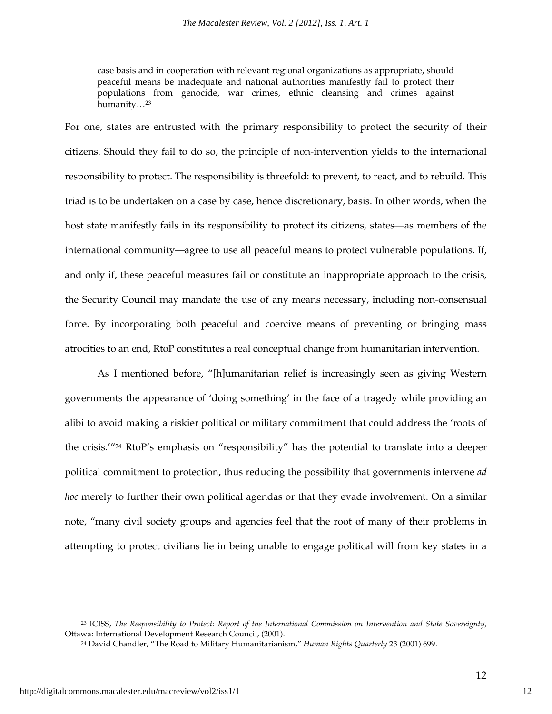case basis and in cooperation with relevant regional organizations as appropriate, should peaceful means be inadequate and national authorities manifestly fail to protect their populations from genocide, war crimes, ethnic cleansing and crimes against humanity…<sup>23</sup>

For one, states are entrusted with the primary responsibility to protect the security of their citizens. Should they fail to do so, the principle of non-intervention yields to the international responsibility to protect. The responsibility is threefold: to prevent, to react, and to rebuild. This triad is to be undertaken on a case by case, hence discretionary, basis. In other words, when the host state manifestly fails in its responsibility to protect its citizens, states—as members of the international community—agree to use all peaceful means to protect vulnerable populations. If, and only if, these peaceful measures fail or constitute an inappropriate approach to the crisis, the Security Council may mandate the use of any means necessary, including non-consensual force. By incorporating both peaceful and coercive means of preventing or bringing mass atrocities to an end, RtoP constitutes a real conceptual change from humanitarian intervention.

As I mentioned before, "[h]umanitarian relief is increasingly seen as giving Western governments the appearance of 'doing something' in the face of a tragedy while providing an alibi to avoid making a riskier political or military commitment that could address the 'roots of the crisis.'"24 RtoP's emphasis on "responsibility" has the potential to translate into a deeper political commitment to protection, thus reducing the possibility that governments intervene *ad hoc* merely to further their own political agendas or that they evade involvement. On a similar note, "many civil society groups and agencies feel that the root of many of their problems in attempting to protect civilians lie in being unable to engage political will from key states in a

<sup>23</sup> ICISS, *The Responsibility to Protect: Report of the International Commission on Intervention and State Sovereignty,*  Ottawa: International Development Research Council, (2001).

<sup>24</sup> David Chandler, "The Road to Military Humanitarianism," *Human Rights Quarterly* 23 (2001) 699.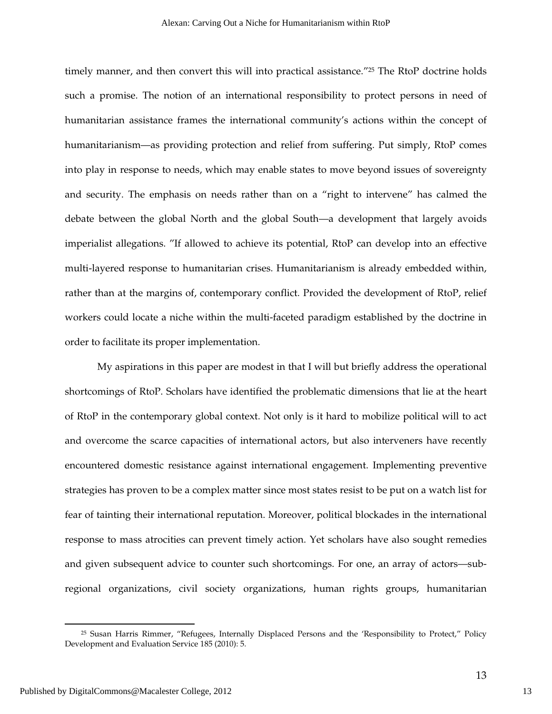timely manner, and then convert this will into practical assistance."<sup>25</sup> The RtoP doctrine holds such a promise. The notion of an international responsibility to protect persons in need of humanitarian assistance frames the international community's actions within the concept of humanitarianism—as providing protection and relief from suffering. Put simply, RtoP comes into play in response to needs, which may enable states to move beyond issues of sovereignty and security. The emphasis on needs rather than on a "right to intervene" has calmed the debate between the global North and the global South—a development that largely avoids imperialist allegations. "If allowed to achieve its potential, RtoP can develop into an effective multi-layered response to humanitarian crises. Humanitarianism is already embedded within, rather than at the margins of, contemporary conflict. Provided the development of RtoP, relief workers could locate a niche within the multi-faceted paradigm established by the doctrine in order to facilitate its proper implementation.

My aspirations in this paper are modest in that I will but briefly address the operational shortcomings of RtoP. Scholars have identified the problematic dimensions that lie at the heart of RtoP in the contemporary global context. Not only is it hard to mobilize political will to act and overcome the scarce capacities of international actors, but also interveners have recently encountered domestic resistance against international engagement. Implementing preventive strategies has proven to be a complex matter since most states resist to be put on a watch list for fear of tainting their international reputation. Moreover, political blockades in the international response to mass atrocities can prevent timely action. Yet scholars have also sought remedies and given subsequent advice to counter such shortcomings. For one, an array of actors—subregional organizations, civil society organizations, human rights groups, humanitarian

<sup>&</sup>lt;sup>25</sup> Susan Harris Rimmer, "Refugees, Internally Displaced Persons and the 'Responsibility to Protect," Policy Development and Evaluation Service 185 (2010): 5.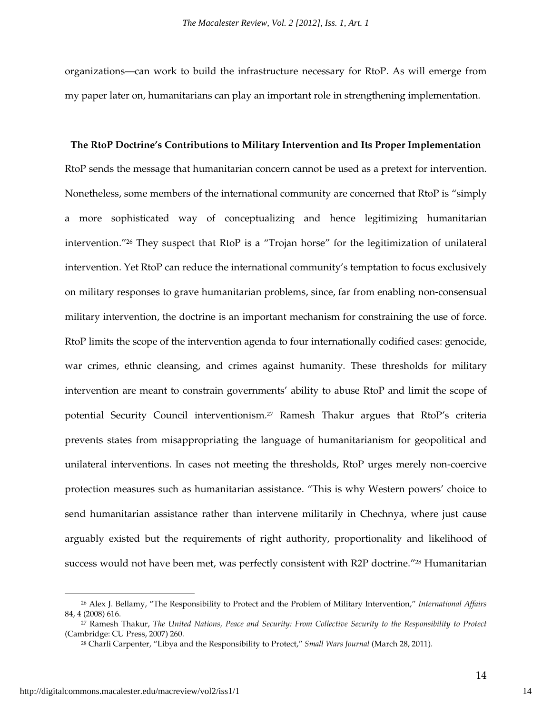organizations—can work to build the infrastructure necessary for RtoP. As will emerge from my paper later on, humanitarians can play an important role in strengthening implementation.

# **The RtoP Doctrine's Contributions to Military Intervention and Its Proper Implementation**  RtoP sends the message that humanitarian concern cannot be used as a pretext for intervention. Nonetheless, some members of the international community are concerned that RtoP is "simply a more sophisticated way of conceptualizing and hence legitimizing humanitarian intervention."26 They suspect that RtoP is a "Trojan horse" for the legitimization of unilateral intervention. Yet RtoP can reduce the international community's temptation to focus exclusively on military responses to grave humanitarian problems, since, far from enabling non-consensual military intervention, the doctrine is an important mechanism for constraining the use of force. RtoP limits the scope of the intervention agenda to four internationally codified cases: genocide, war crimes, ethnic cleansing, and crimes against humanity. These thresholds for military intervention are meant to constrain governments' ability to abuse RtoP and limit the scope of potential Security Council interventionism.27 Ramesh Thakur argues that RtoP's criteria prevents states from misappropriating the language of humanitarianism for geopolitical and unilateral interventions. In cases not meeting the thresholds, RtoP urges merely non-coercive protection measures such as humanitarian assistance. "This is why Western powers' choice to send humanitarian assistance rather than intervene militarily in Chechnya, where just cause arguably existed but the requirements of right authority, proportionality and likelihood of success would not have been met, was perfectly consistent with R2P doctrine.<sup>"28</sup> Humanitarian

l

<sup>26</sup> Alex J. Bellamy, "The Responsibility to Protect and the Problem of Military Intervention," *International Affairs* 84, 4 (2008) 616.

<sup>27</sup> Ramesh Thakur, *The United Nations, Peace and Security: From Collective Security to the Responsibility to Protect* (Cambridge: CU Press, 2007) 260.

<sup>28</sup> Charli Carpenter, "Libya and the Responsibility to Protect," *Small Wars Journal* (March 28, 2011).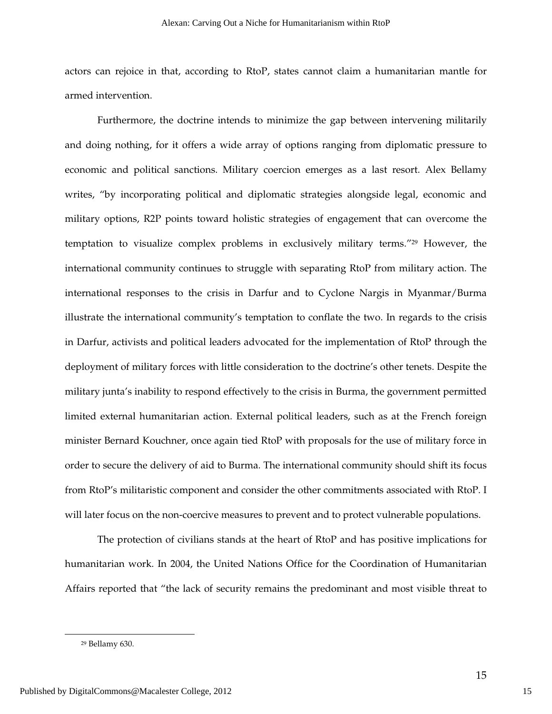actors can rejoice in that, according to RtoP, states cannot claim a humanitarian mantle for armed intervention.

Furthermore, the doctrine intends to minimize the gap between intervening militarily and doing nothing, for it offers a wide array of options ranging from diplomatic pressure to economic and political sanctions. Military coercion emerges as a last resort. Alex Bellamy writes, "by incorporating political and diplomatic strategies alongside legal, economic and military options, R2P points toward holistic strategies of engagement that can overcome the temptation to visualize complex problems in exclusively military terms."29 However, the international community continues to struggle with separating RtoP from military action. The international responses to the crisis in Darfur and to Cyclone Nargis in Myanmar/Burma illustrate the international community's temptation to conflate the two. In regards to the crisis in Darfur, activists and political leaders advocated for the implementation of RtoP through the deployment of military forces with little consideration to the doctrine's other tenets. Despite the military junta's inability to respond effectively to the crisis in Burma, the government permitted limited external humanitarian action. External political leaders, such as at the French foreign minister Bernard Kouchner, once again tied RtoP with proposals for the use of military force in order to secure the delivery of aid to Burma. The international community should shift its focus from RtoP's militaristic component and consider the other commitments associated with RtoP. I will later focus on the non-coercive measures to prevent and to protect vulnerable populations.

The protection of civilians stands at the heart of RtoP and has positive implications for humanitarian work. In 2004, the United Nations Office for the Coordination of Humanitarian Affairs reported that "the lack of security remains the predominant and most visible threat to

<sup>29</sup> Bellamy 630.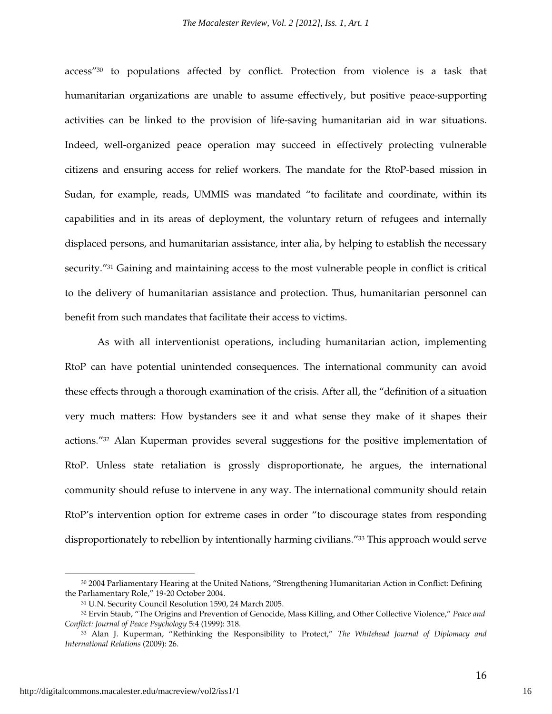access"30 to populations affected by conflict. Protection from violence is a task that humanitarian organizations are unable to assume effectively, but positive peace-supporting activities can be linked to the provision of life-saving humanitarian aid in war situations. Indeed, well-organized peace operation may succeed in effectively protecting vulnerable citizens and ensuring access for relief workers. The mandate for the RtoP-based mission in Sudan, for example, reads, UMMIS was mandated "to facilitate and coordinate, within its capabilities and in its areas of deployment, the voluntary return of refugees and internally displaced persons, and humanitarian assistance, inter alia, by helping to establish the necessary security."31 Gaining and maintaining access to the most vulnerable people in conflict is critical to the delivery of humanitarian assistance and protection. Thus, humanitarian personnel can benefit from such mandates that facilitate their access to victims.

As with all interventionist operations, including humanitarian action, implementing RtoP can have potential unintended consequences. The international community can avoid these effects through a thorough examination of the crisis. After all, the "definition of a situation very much matters: How bystanders see it and what sense they make of it shapes their actions."32 Alan Kuperman provides several suggestions for the positive implementation of RtoP. Unless state retaliation is grossly disproportionate, he argues, the international community should refuse to intervene in any way. The international community should retain RtoP's intervention option for extreme cases in order "to discourage states from responding disproportionately to rebellion by intentionally harming civilians."33 This approach would serve

l

<sup>30</sup> 2004 Parliamentary Hearing at the United Nations, "Strengthening Humanitarian Action in Conflict: Defining the Parliamentary Role," 19-20 October 2004.

<sup>31</sup> U.N. Security Council Resolution 1590, 24 March 2005.

<sup>32</sup> Ervin Staub, "The Origins and Prevention of Genocide, Mass Killing, and Other Collective Violence," *Peace and Conflict: Journal of Peace Psychology* 5:4 (1999): 318.

<sup>33</sup> Alan J. Kuperman, "Rethinking the Responsibility to Protect," *The Whitehead Journal of Diplomacy and International Relations* (2009): 26.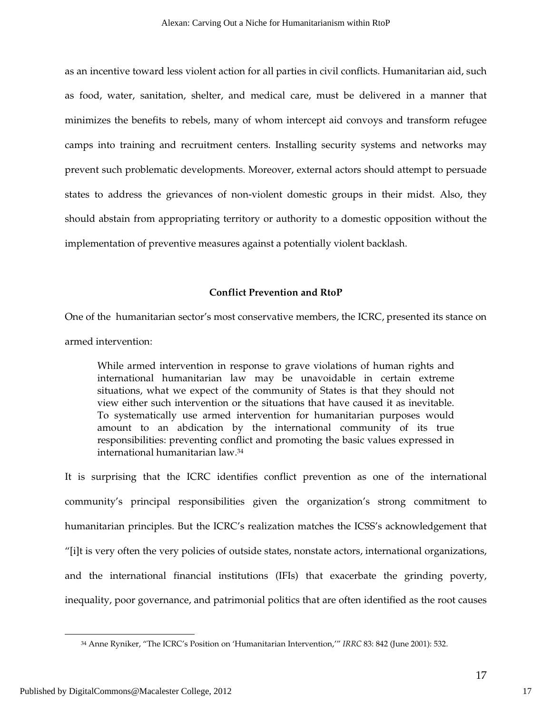as an incentive toward less violent action for all parties in civil conflicts. Humanitarian aid, such as food, water, sanitation, shelter, and medical care, must be delivered in a manner that minimizes the benefits to rebels, many of whom intercept aid convoys and transform refugee camps into training and recruitment centers. Installing security systems and networks may prevent such problematic developments. Moreover, external actors should attempt to persuade states to address the grievances of non-violent domestic groups in their midst. Also, they should abstain from appropriating territory or authority to a domestic opposition without the implementation of preventive measures against a potentially violent backlash.

#### **Conflict Prevention and RtoP**

One of the humanitarian sector's most conservative members, the ICRC, presented its stance on armed intervention:

While armed intervention in response to grave violations of human rights and international humanitarian law may be unavoidable in certain extreme situations, what we expect of the community of States is that they should not view either such intervention or the situations that have caused it as inevitable. To systematically use armed intervention for humanitarian purposes would amount to an abdication by the international community of its true responsibilities: preventing conflict and promoting the basic values expressed in international humanitarian law.<sup>34</sup>

It is surprising that the ICRC identifies conflict prevention as one of the international community's principal responsibilities given the organization's strong commitment to humanitarian principles. But the ICRC's realization matches the ICSS's acknowledgement that "[i]t is very often the very policies of outside states, nonstate actors, international organizations, and the international financial institutions (IFIs) that exacerbate the grinding poverty, inequality, poor governance, and patrimonial politics that are often identified as the root causes

<sup>34</sup> Anne Ryniker, "The ICRC's Position on 'Humanitarian Intervention,'" *IRRC* 83: 842 (June 2001): 532.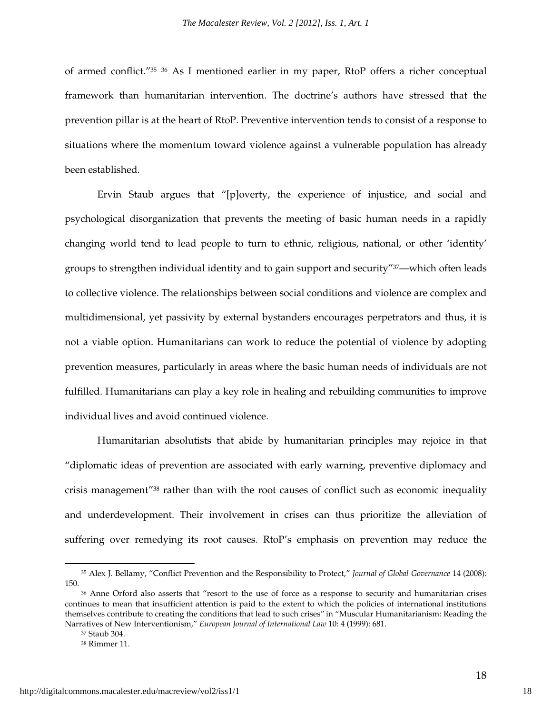of armed conflict."<sup>35</sup> <sup>36</sup> As I mentioned earlier in my paper, RtoP offers a richer conceptual framework than humanitarian intervention. The doctrine's authors have stressed that the prevention pillar is at the heart of RtoP. Preventive intervention tends to consist of a response to situations where the momentum toward violence against a vulnerable population has already been established.

Ervin Staub argues that "[p]overty, the experience of injustice, and social and psychological disorganization that prevents the meeting of basic human needs in a rapidly changing world tend to lead people to turn to ethnic, religious, national, or other 'identity' groups to strengthen individual identity and to gain support and security"37—which often leads to collective violence. The relationships between social conditions and violence are complex and multidimensional, yet passivity by external bystanders encourages perpetrators and thus, it is not a viable option. Humanitarians can work to reduce the potential of violence by adopting prevention measures, particularly in areas where the basic human needs of individuals are not fulfilled. Humanitarians can play a key role in healing and rebuilding communities to improve individual lives and avoid continued violence.

Humanitarian absolutists that abide by humanitarian principles may rejoice in that "diplomatic ideas of prevention are associated with early warning, preventive diplomacy and crisis management"38 rather than with the root causes of conflict such as economic inequality and underdevelopment. Their involvement in crises can thus prioritize the alleviation of suffering over remedying its root causes. RtoP's emphasis on prevention may reduce the

<sup>35</sup> Alex J. Bellamy, "Conflict Prevention and the Responsibility to Protect," *Journal of Global Governance* 14 (2008): 150.

<sup>36</sup> Anne Orford also asserts that "resort to the use of force as a response to security and humanitarian crises continues to mean that insufficient attention is paid to the extent to which the policies of international institutions themselves contribute to creating the conditions that lead to such crises" in "Muscular Humanitarianism: Reading the Narratives of New Interventionism," *European Journal of International Law* 10: 4 (1999): 681.

<sup>37</sup> Staub 304.

<sup>38</sup> Rimmer 11.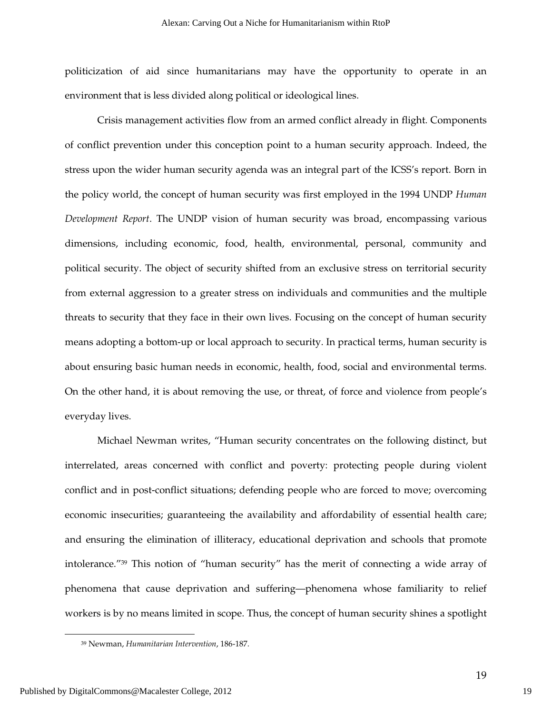politicization of aid since humanitarians may have the opportunity to operate in an environment that is less divided along political or ideological lines.

Crisis management activities flow from an armed conflict already in flight. Components of conflict prevention under this conception point to a human security approach. Indeed, the stress upon the wider human security agenda was an integral part of the ICSS's report. Born in the policy world, the concept of human security was first employed in the 1994 UNDP *Human Development Report*. The UNDP vision of human security was broad, encompassing various dimensions, including economic, food, health, environmental, personal, community and political security. The object of security shifted from an exclusive stress on territorial security from external aggression to a greater stress on individuals and communities and the multiple threats to security that they face in their own lives. Focusing on the concept of human security means adopting a bottom-up or local approach to security. In practical terms, human security is about ensuring basic human needs in economic, health, food, social and environmental terms. On the other hand, it is about removing the use, or threat, of force and violence from people's everyday lives.

Michael Newman writes, "Human security concentrates on the following distinct, but interrelated, areas concerned with conflict and poverty: protecting people during violent conflict and in post-conflict situations; defending people who are forced to move; overcoming economic insecurities; guaranteeing the availability and affordability of essential health care; and ensuring the elimination of illiteracy, educational deprivation and schools that promote intolerance."39 This notion of "human security" has the merit of connecting a wide array of phenomena that cause deprivation and suffering—phenomena whose familiarity to relief workers is by no means limited in scope. Thus, the concept of human security shines a spotlight

<sup>39</sup> Newman, *Humanitarian Intervention*, 186-187.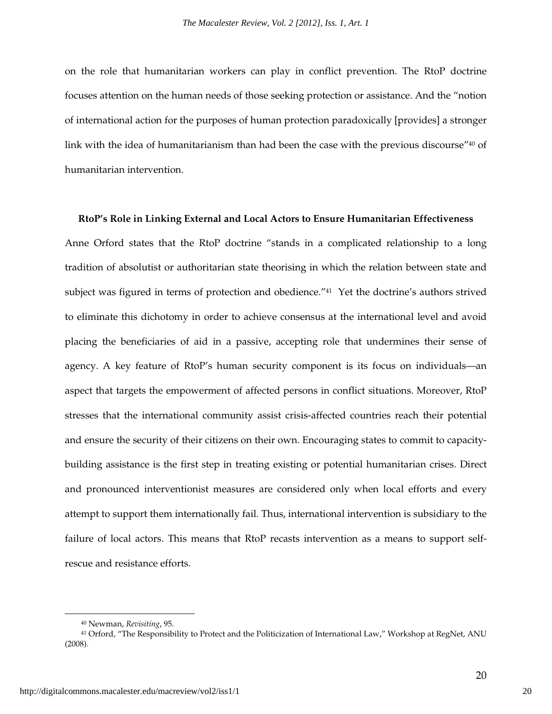on the role that humanitarian workers can play in conflict prevention. The RtoP doctrine focuses attention on the human needs of those seeking protection or assistance. And the "notion of international action for the purposes of human protection paradoxically [provides] a stronger link with the idea of humanitarianism than had been the case with the previous discourse"<sup>40</sup> of humanitarian intervention.

#### **RtoP's Role in Linking External and Local Actors to Ensure Humanitarian Effectiveness**

Anne Orford states that the RtoP doctrine "stands in a complicated relationship to a long tradition of absolutist or authoritarian state theorising in which the relation between state and subject was figured in terms of protection and obedience."<sup>41</sup> Yet the doctrine's authors strived to eliminate this dichotomy in order to achieve consensus at the international level and avoid placing the beneficiaries of aid in a passive, accepting role that undermines their sense of agency. A key feature of RtoP's human security component is its focus on individuals—an aspect that targets the empowerment of affected persons in conflict situations. Moreover, RtoP stresses that the international community assist crisis-affected countries reach their potential and ensure the security of their citizens on their own. Encouraging states to commit to capacitybuilding assistance is the first step in treating existing or potential humanitarian crises. Direct and pronounced interventionist measures are considered only when local efforts and every attempt to support them internationally fail. Thus, international intervention is subsidiary to the failure of local actors. This means that RtoP recasts intervention as a means to support selfrescue and resistance efforts.

<sup>40</sup> Newman, *Revisiting*, 95.

<sup>41</sup> Orford, "The Responsibility to Protect and the Politicization of International Law," Workshop at RegNet, ANU (2008).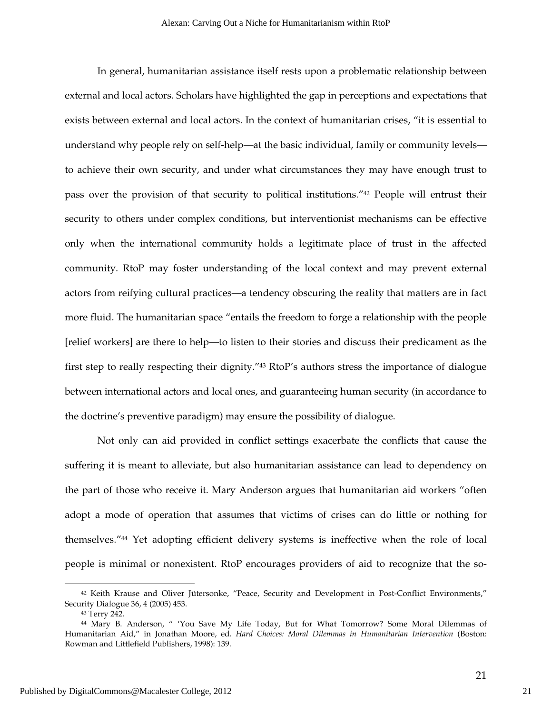In general, humanitarian assistance itself rests upon a problematic relationship between external and local actors. Scholars have highlighted the gap in perceptions and expectations that exists between external and local actors. In the context of humanitarian crises, "it is essential to understand why people rely on self-help—at the basic individual, family or community levels to achieve their own security, and under what circumstances they may have enough trust to pass over the provision of that security to political institutions."42 People will entrust their security to others under complex conditions, but interventionist mechanisms can be effective only when the international community holds a legitimate place of trust in the affected community. RtoP may foster understanding of the local context and may prevent external actors from reifying cultural practices—a tendency obscuring the reality that matters are in fact more fluid. The humanitarian space "entails the freedom to forge a relationship with the people [relief workers] are there to help—to listen to their stories and discuss their predicament as the first step to really respecting their dignity."43 RtoP's authors stress the importance of dialogue between international actors and local ones, and guaranteeing human security (in accordance to the doctrine's preventive paradigm) may ensure the possibility of dialogue.

Not only can aid provided in conflict settings exacerbate the conflicts that cause the suffering it is meant to alleviate, but also humanitarian assistance can lead to dependency on the part of those who receive it. Mary Anderson argues that humanitarian aid workers "often adopt a mode of operation that assumes that victims of crises can do little or nothing for themselves."44 Yet adopting efficient delivery systems is ineffective when the role of local people is minimal or nonexistent. RtoP encourages providers of aid to recognize that the so-

<sup>42</sup> Keith Krause and Oliver Jütersonke, "Peace, Security and Development in Post-Conflict Environments," Security Dialogue 36, 4 (2005) 453.

<sup>43</sup> Terry 242.

<sup>44</sup> Mary B. Anderson, " 'You Save My Life Today, But for What Tomorrow? Some Moral Dilemmas of Humanitarian Aid," in Jonathan Moore, ed. *Hard Choices: Moral Dilemmas in Humanitarian Intervention* (Boston: Rowman and Littlefield Publishers, 1998): 139.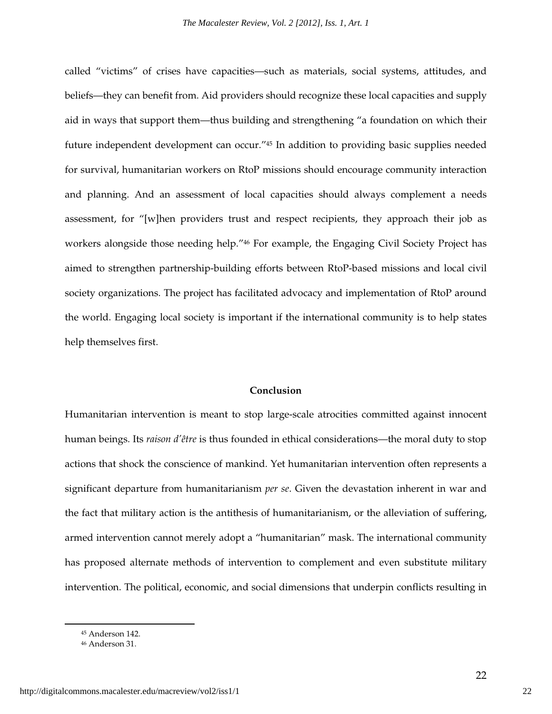called "victims" of crises have capacities—such as materials, social systems, attitudes, and beliefs—they can benefit from. Aid providers should recognize these local capacities and supply aid in ways that support them—thus building and strengthening "a foundation on which their future independent development can occur."45 In addition to providing basic supplies needed for survival, humanitarian workers on RtoP missions should encourage community interaction and planning. And an assessment of local capacities should always complement a needs assessment, for "[w]hen providers trust and respect recipients, they approach their job as workers alongside those needing help."46 For example, the Engaging Civil Society Project has aimed to strengthen partnership-building efforts between RtoP-based missions and local civil society organizations. The project has facilitated advocacy and implementation of RtoP around the world. Engaging local society is important if the international community is to help states help themselves first.

#### **Conclusion**

Humanitarian intervention is meant to stop large-scale atrocities committed against innocent human beings. Its *raison d'être* is thus founded in ethical considerations—the moral duty to stop actions that shock the conscience of mankind. Yet humanitarian intervention often represents a significant departure from humanitarianism *per se*. Given the devastation inherent in war and the fact that military action is the antithesis of humanitarianism, or the alleviation of suffering, armed intervention cannot merely adopt a "humanitarian" mask. The international community has proposed alternate methods of intervention to complement and even substitute military intervention. The political, economic, and social dimensions that underpin conflicts resulting in

<sup>45</sup> Anderson 142.

<sup>46</sup> Anderson 31.